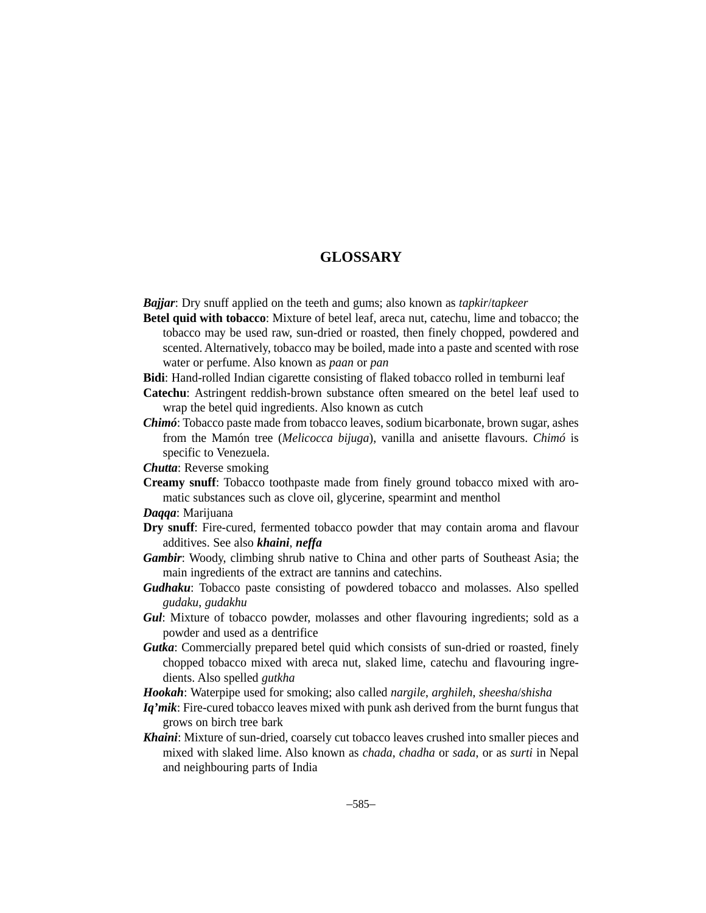## **GLOSSARY**

*Bajjar*: Dry snuff applied on the teeth and gums; also known as *tapkir*/*tapkeer* 

- **Betel quid with tobacco**: Mixture of betel leaf, areca nut, catechu, lime and tobacco; the tobacco may be used raw, sun-dried or roasted, then finely chopped, powdered and scented. Alternatively, tobacco may be boiled, made into a paste and scented with rose water or perfume. Also known as *paan* or *pan*
- **Bidi**: Hand-rolled Indian cigarette consisting of flaked tobacco rolled in temburni leaf
- **Catechu**: Astringent reddish-brown substance often smeared on the betel leaf used to wrap the betel quid ingredients. Also known as cutch
- *Chimó*: Tobacco paste made from tobacco leaves, sodium bicarbonate, brown sugar, ashes from the Mamón tree (*Melicocca bijuga*), vanilla and anisette flavours. *Chimó* is specific to Venezuela.
- *Chutta*: Reverse smoking
- **Creamy snuff**: Tobacco toothpaste made from finely ground tobacco mixed with aromatic substances such as clove oil, glycerine, spearmint and menthol
- *Daqqa*: Marijuana
- **Dry snuff**: Fire-cured, fermented tobacco powder that may contain aroma and flavour additives. See also *khaini*, *neffa*
- *Gambir*: Woody, climbing shrub native to China and other parts of Southeast Asia; the main ingredients of the extract are tannins and catechins.
- *Gudhaku*: Tobacco paste consisting of powdered tobacco and molasses. Also spelled *gudaku*, *gudakhu*
- *Gul*: Mixture of tobacco powder, molasses and other flavouring ingredients; sold as a powder and used as a dentrifice
- *Gutka*: Commercially prepared betel quid which consists of sun-dried or roasted, finely chopped tobacco mixed with areca nut, slaked lime, catechu and flavouring ingredients. Also spelled *gutkha*
- *Hookah*: Waterpipe used for smoking; also called *nargile*, *arghileh*, *sheesha*/*shisha*
- *Iq'mik*: Fire-cured tobacco leaves mixed with punk ash derived from the burnt fungus that grows on birch tree bark
- *Khaini*: Mixture of sun-dried, coarsely cut tobacco leaves crushed into smaller pieces and mixed with slaked lime. Also known as *chada*, *chadha* or *sada*, or as *surti* in Nepal and neighbouring parts of India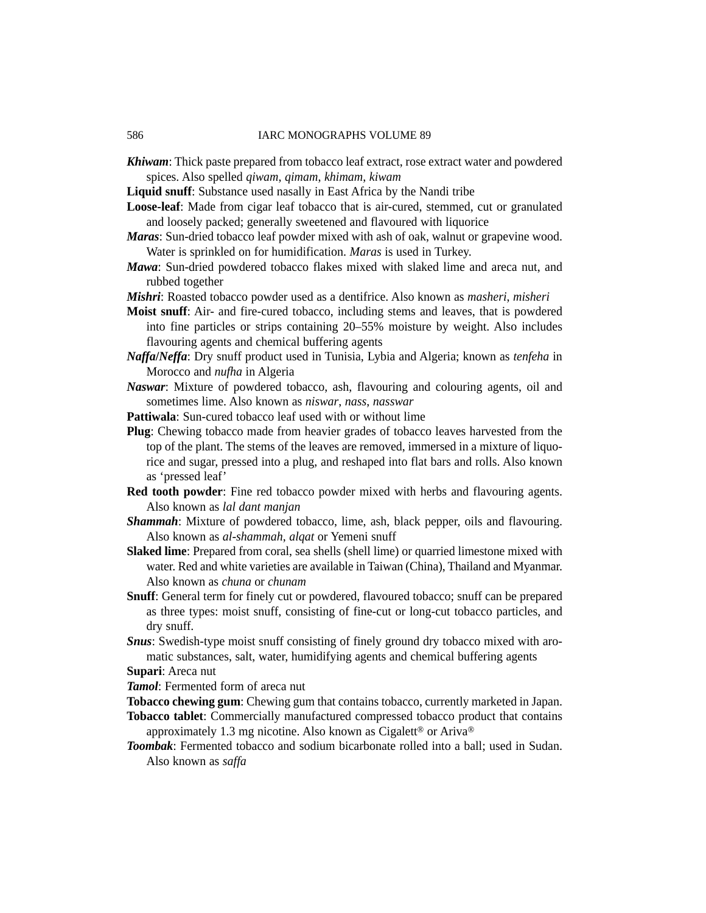## 586 IARC MONOGRAPHS VOLUME 89

- *Khiwam*: Thick paste prepared from tobacco leaf extract, rose extract water and powdered spices. Also spelled *qiwam*, *qimam*, *khimam*, *kiwam*
- **Liquid snuff**: Substance used nasally in East Africa by the Nandi tribe
- **Loose-leaf**: Made from cigar leaf tobacco that is air-cured, stemmed, cut or granulated and loosely packed; generally sweetened and flavoured with liquorice
- *Maras*: Sun-dried tobacco leaf powder mixed with ash of oak, walnut or grapevine wood. Water is sprinkled on for humidification. *Maras* is used in Turkey.
- *Mawa*: Sun-dried powdered tobacco flakes mixed with slaked lime and areca nut, and rubbed together
- *Mishri*: Roasted tobacco powder used as a dentifrice. Also known as *masheri*, *misheri*
- **Moist snuff**: Air- and fire-cured tobacco, including stems and leaves, that is powdered into fine particles or strips containing 20–55% moisture by weight. Also includes flavouring agents and chemical buffering agents
- *Naffa***/***Neffa*: Dry snuff product used in Tunisia, Lybia and Algeria; known as *tenfeha* in Morocco and *nufha* in Algeria
- *Naswar*: Mixture of powdered tobacco, ash, flavouring and colouring agents, oil and sometimes lime. Also known as *niswar*, *nass*, *nasswar*
- **Pattiwala**: Sun-cured tobacco leaf used with or without lime
- **Plug**: Chewing tobacco made from heavier grades of tobacco leaves harvested from the top of the plant. The stems of the leaves are removed, immersed in a mixture of liquorice and sugar, pressed into a plug, and reshaped into flat bars and rolls. Also known as 'pressed leaf'
- **Red tooth powder**: Fine red tobacco powder mixed with herbs and flavouring agents. Also known as *lal dant manjan*
- *Shammah*: Mixture of powdered tobacco, lime, ash, black pepper, oils and flavouring. Also known as *al-shammah*, *alqat* or Yemeni snuff
- **Slaked lime**: Prepared from coral, sea shells (shell lime) or quarried limestone mixed with water. Red and white varieties are available in Taiwan (China), Thailand and Myanmar. Also known as *chuna* or *chunam*
- **Snuff**: General term for finely cut or powdered, flavoured tobacco; snuff can be prepared as three types: moist snuff, consisting of fine-cut or long-cut tobacco particles, and dry snuff.
- *Snus*: Swedish-type moist snuff consisting of finely ground dry tobacco mixed with aromatic substances, salt, water, humidifying agents and chemical buffering agents
- **Supari**: Areca nut
- *Tamol*: Fermented form of areca nut
- **Tobacco chewing gum**: Chewing gum that contains tobacco, currently marketed in Japan.
- **Tobacco tablet**: Commercially manufactured compressed tobacco product that contains approximately 1.3 mg nicotine. Also known as Cigalett® or Ariva®
- *Toombak*: Fermented tobacco and sodium bicarbonate rolled into a ball; used in Sudan. Also known as *saffa*